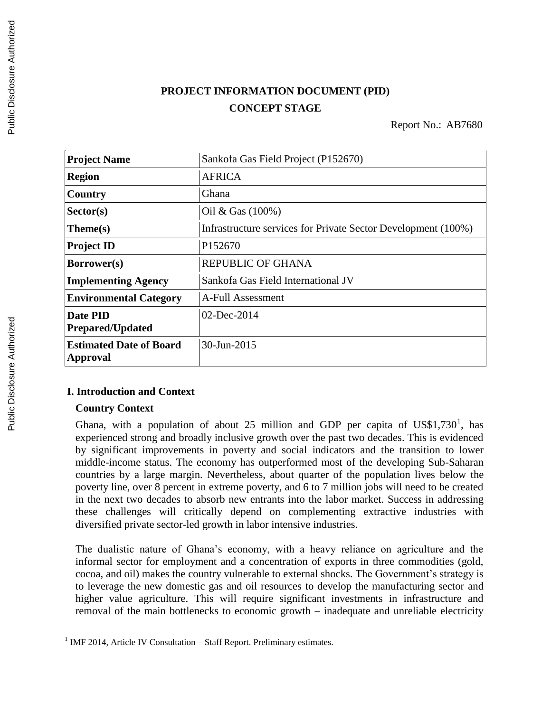# **PROJECT INFORMATION DOCUMENT (PID) CONCEPT STAGE**

Report No.: AB7680

| <b>Project Name</b>                               | Sankofa Gas Field Project (P152670)                           |
|---------------------------------------------------|---------------------------------------------------------------|
| <b>Region</b>                                     | <b>AFRICA</b>                                                 |
| Country                                           | Ghana                                                         |
| Sector(s)                                         | Oil & Gas $(100\%)$                                           |
| $Thene(s)$                                        | Infrastructure services for Private Sector Development (100%) |
| <b>Project ID</b>                                 | P <sub>152670</sub>                                           |
| <b>Borrower(s)</b>                                | <b>REPUBLIC OF GHANA</b>                                      |
| <b>Implementing Agency</b>                        | Sankofa Gas Field International JV                            |
| <b>Environmental Category</b>                     | A-Full Assessment                                             |
| <b>Date PID</b><br><b>Prepared/Updated</b>        | 02-Dec-2014                                                   |
| <b>Estimated Date of Board</b><br><b>Approval</b> | 30-Jun-2015                                                   |

### **I. Introduction and Context**

#### **Country Context**

Ghana, with a population of about 25 million and GDP per capita of  $USS1,730^1$ , has experienced strong and broadly inclusive growth over the past two decades. This is evidenced by significant improvements in poverty and social indicators and the transition to lower middle-income status. The economy has outperformed most of the developing Sub-Saharan countries by a large margin. Nevertheless, about quarter of the population lives below the poverty line, over 8 percent in extreme poverty, and 6 to 7 million jobs will need to be created in the next two decades to absorb new entrants into the labor market. Success in addressing these challenges will critically depend on complementing extractive industries with diversified private sector-led growth in labor intensive industries.

The dualistic nature of Ghana's economy, with a heavy reliance on agriculture and the informal sector for employment and a concentration of exports in three commodities (gold, cocoa, and oil) makes the country vulnerable to external shocks. The Government's strategy is to leverage the new domestic gas and oil resources to develop the manufacturing sector and higher value agriculture. This will require significant investments in infrastructure and removal of the main bottlenecks to economic growth – inadequate and unreliable electricity

 1 IMF 2014, Article IV Consultation – Staff Report. Preliminary estimates.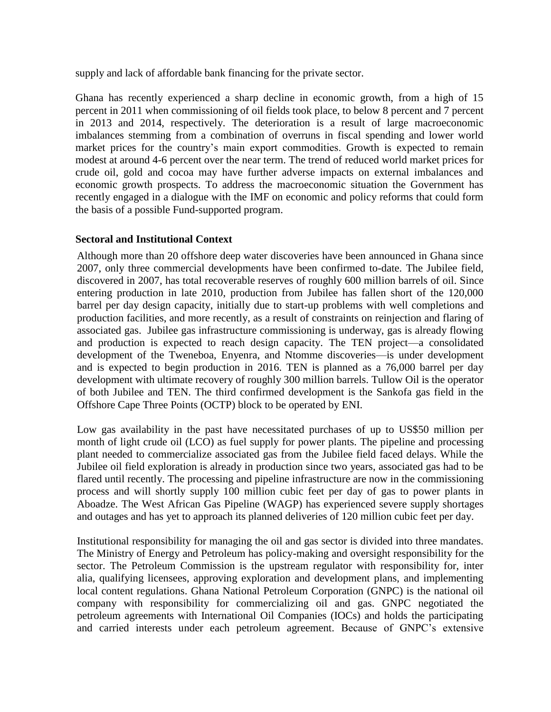supply and lack of affordable bank financing for the private sector.

Ghana has recently experienced a sharp decline in economic growth, from a high of 15 percent in 2011 when commissioning of oil fields took place, to below 8 percent and 7 percent in 2013 and 2014, respectively. The deterioration is a result of large macroeconomic imbalances stemming from a combination of overruns in fiscal spending and lower world market prices for the country's main export commodities. Growth is expected to remain modest at around 4-6 percent over the near term. The trend of reduced world market prices for crude oil, gold and cocoa may have further adverse impacts on external imbalances and economic growth prospects. To address the macroeconomic situation the Government has recently engaged in a dialogue with the IMF on economic and policy reforms that could form the basis of a possible Fund-supported program.

### **Sectoral and Institutional Context**

Although more than 20 offshore deep water discoveries have been announced in Ghana since 2007, only three commercial developments have been confirmed to-date. The Jubilee field, discovered in 2007, has total recoverable reserves of roughly 600 million barrels of oil. Since entering production in late 2010, production from Jubilee has fallen short of the 120,000 barrel per day design capacity, initially due to start-up problems with well completions and production facilities, and more recently, as a result of constraints on reinjection and flaring of associated gas. Jubilee gas infrastructure commissioning is underway, gas is already flowing and production is expected to reach design capacity. The TEN project—a consolidated development of the Tweneboa, Enyenra, and Ntomme discoveries—is under development and is expected to begin production in 2016. TEN is planned as a 76,000 barrel per day development with ultimate recovery of roughly 300 million barrels. Tullow Oil is the operator of both Jubilee and TEN. The third confirmed development is the Sankofa gas field in the Offshore Cape Three Points (OCTP) block to be operated by ENI.

Low gas availability in the past have necessitated purchases of up to US\$50 million per month of light crude oil (LCO) as fuel supply for power plants. The pipeline and processing plant needed to commercialize associated gas from the Jubilee field faced delays. While the Jubilee oil field exploration is already in production since two years, associated gas had to be flared until recently. The processing and pipeline infrastructure are now in the commissioning process and will shortly supply 100 million cubic feet per day of gas to power plants in Aboadze. The West African Gas Pipeline (WAGP) has experienced severe supply shortages and outages and has yet to approach its planned deliveries of 120 million cubic feet per day.

Institutional responsibility for managing the oil and gas sector is divided into three mandates. The Ministry of Energy and Petroleum has policy-making and oversight responsibility for the sector. The Petroleum Commission is the upstream regulator with responsibility for, inter alia, qualifying licensees, approving exploration and development plans, and implementing local content regulations. Ghana National Petroleum Corporation (GNPC) is the national oil company with responsibility for commercializing oil and gas. GNPC negotiated the petroleum agreements with International Oil Companies (IOCs) and holds the participating and carried interests under each petroleum agreement. Because of GNPC's extensive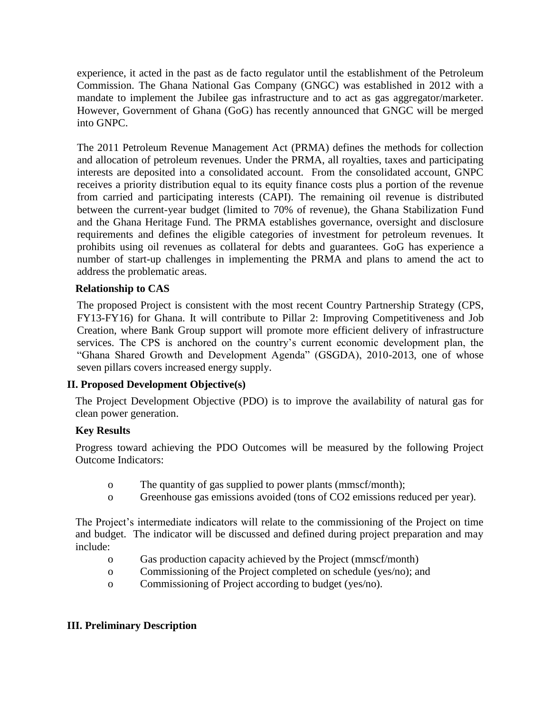experience, it acted in the past as de facto regulator until the establishment of the Petroleum Commission. The Ghana National Gas Company (GNGC) was established in 2012 with a mandate to implement the Jubilee gas infrastructure and to act as gas aggregator/marketer. However, Government of Ghana (GoG) has recently announced that GNGC will be merged into GNPC.

The 2011 Petroleum Revenue Management Act (PRMA) defines the methods for collection and allocation of petroleum revenues. Under the PRMA, all royalties, taxes and participating interests are deposited into a consolidated account. From the consolidated account, GNPC receives a priority distribution equal to its equity finance costs plus a portion of the revenue from carried and participating interests (CAPI). The remaining oil revenue is distributed between the current-year budget (limited to 70% of revenue), the Ghana Stabilization Fund and the Ghana Heritage Fund. The PRMA establishes governance, oversight and disclosure requirements and defines the eligible categories of investment for petroleum revenues. It prohibits using oil revenues as collateral for debts and guarantees. GoG has experience a number of start-up challenges in implementing the PRMA and plans to amend the act to address the problematic areas.

### **Relationship to CAS**

The proposed Project is consistent with the most recent Country Partnership Strategy (CPS, FY13-FY16) for Ghana. It will contribute to Pillar 2: Improving Competitiveness and Job Creation, where Bank Group support will promote more efficient delivery of infrastructure services. The CPS is anchored on the country's current economic development plan, the "Ghana Shared Growth and Development Agenda" (GSGDA), 2010-2013, one of whose seven pillars covers increased energy supply.

#### **II. Proposed Development Objective(s)**

The Project Development Objective (PDO) is to improve the availability of natural gas for clean power generation.

#### **Key Results**

Progress toward achieving the PDO Outcomes will be measured by the following Project Outcome Indicators:

- o The quantity of gas supplied to power plants (mmscf/month);
- o Greenhouse gas emissions avoided (tons of CO2 emissions reduced per year).

The Project's intermediate indicators will relate to the commissioning of the Project on time and budget. The indicator will be discussed and defined during project preparation and may include:

- o Gas production capacity achieved by the Project (mmscf/month)
- o Commissioning of the Project completed on schedule (yes/no); and
- o Commissioning of Project according to budget (yes/no).

### **III. Preliminary Description**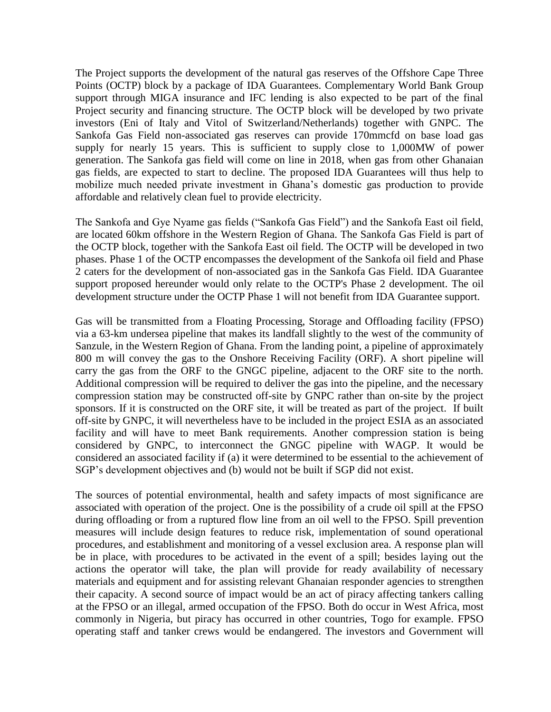The Project supports the development of the natural gas reserves of the Offshore Cape Three Points (OCTP) block by a package of IDA Guarantees. Complementary World Bank Group support through MIGA insurance and IFC lending is also expected to be part of the final Project security and financing structure. The OCTP block will be developed by two private investors (Eni of Italy and Vitol of Switzerland/Netherlands) together with GNPC. The Sankofa Gas Field non-associated gas reserves can provide 170mmcfd on base load gas supply for nearly 15 years. This is sufficient to supply close to 1,000MW of power generation. The Sankofa gas field will come on line in 2018, when gas from other Ghanaian gas fields, are expected to start to decline. The proposed IDA Guarantees will thus help to mobilize much needed private investment in Ghana's domestic gas production to provide affordable and relatively clean fuel to provide electricity.

The Sankofa and Gye Nyame gas fields ("Sankofa Gas Field") and the Sankofa East oil field, are located 60km offshore in the Western Region of Ghana. The Sankofa Gas Field is part of the OCTP block, together with the Sankofa East oil field. The OCTP will be developed in two phases. Phase 1 of the OCTP encompasses the development of the Sankofa oil field and Phase 2 caters for the development of non-associated gas in the Sankofa Gas Field. IDA Guarantee support proposed hereunder would only relate to the OCTP's Phase 2 development. The oil development structure under the OCTP Phase 1 will not benefit from IDA Guarantee support.

Gas will be transmitted from a Floating Processing, Storage and Offloading facility (FPSO) via a 63-km undersea pipeline that makes its landfall slightly to the west of the community of Sanzule, in the Western Region of Ghana. From the landing point, a pipeline of approximately 800 m will convey the gas to the Onshore Receiving Facility (ORF). A short pipeline will carry the gas from the ORF to the GNGC pipeline, adjacent to the ORF site to the north. Additional compression will be required to deliver the gas into the pipeline, and the necessary compression station may be constructed off-site by GNPC rather than on-site by the project sponsors. If it is constructed on the ORF site, it will be treated as part of the project. If built off-site by GNPC, it will nevertheless have to be included in the project ESIA as an associated facility and will have to meet Bank requirements. Another compression station is being considered by GNPC, to interconnect the GNGC pipeline with WAGP. It would be considered an associated facility if (a) it were determined to be essential to the achievement of SGP's development objectives and (b) would not be built if SGP did not exist.

The sources of potential environmental, health and safety impacts of most significance are associated with operation of the project. One is the possibility of a crude oil spill at the FPSO during offloading or from a ruptured flow line from an oil well to the FPSO. Spill prevention measures will include design features to reduce risk, implementation of sound operational procedures, and establishment and monitoring of a vessel exclusion area. A response plan will be in place, with procedures to be activated in the event of a spill; besides laying out the actions the operator will take, the plan will provide for ready availability of necessary materials and equipment and for assisting relevant Ghanaian responder agencies to strengthen their capacity. A second source of impact would be an act of piracy affecting tankers calling at the FPSO or an illegal, armed occupation of the FPSO. Both do occur in West Africa, most commonly in Nigeria, but piracy has occurred in other countries, Togo for example. FPSO operating staff and tanker crews would be endangered. The investors and Government will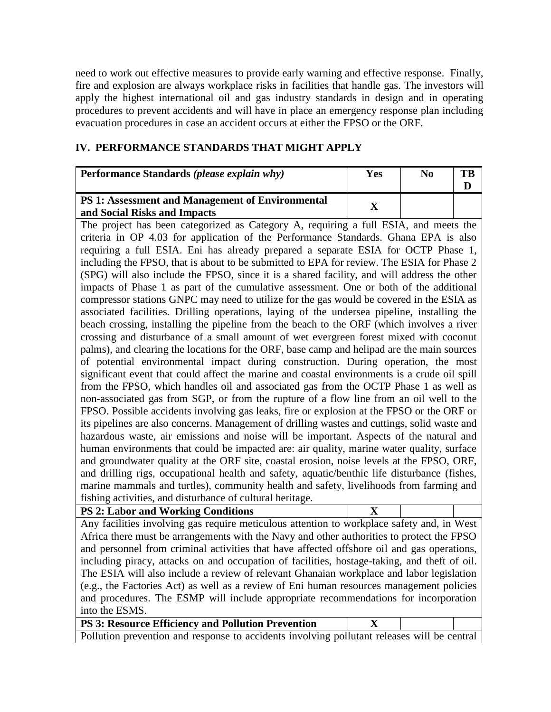need to work out effective measures to provide early warning and effective response. Finally, fire and explosion are always workplace risks in facilities that handle gas. The investors will apply the highest international oil and gas industry standards in design and in operating procedures to prevent accidents and will have in place an emergency response plan including evacuation procedures in case an accident occurs at either the FPSO or the ORF.

### **IV. PERFORMANCE STANDARDS THAT MIGHT APPLY**

| Performance Standards (please explain why)              | <b>Yes</b> | N <sub>0</sub> | TB |
|---------------------------------------------------------|------------|----------------|----|
|                                                         |            |                |    |
| <b>PS 1: Assessment and Management of Environmental</b> |            |                |    |
| and Social Risks and Impacts                            |            |                |    |

The project has been categorized as Category A, requiring a full ESIA, and meets the criteria in OP 4.03 for application of the Performance Standards. Ghana EPA is also requiring a full ESIA. Eni has already prepared a separate ESIA for OCTP Phase 1, including the FPSO, that is about to be submitted to EPA for review. The ESIA for Phase 2 (SPG) will also include the FPSO, since it is a shared facility, and will address the other impacts of Phase 1 as part of the cumulative assessment. One or both of the additional compressor stations GNPC may need to utilize for the gas would be covered in the ESIA as associated facilities. Drilling operations, laying of the undersea pipeline, installing the beach crossing, installing the pipeline from the beach to the ORF (which involves a river crossing and disturbance of a small amount of wet evergreen forest mixed with coconut palms), and clearing the locations for the ORF, base camp and helipad are the main sources of potential environmental impact during construction. During operation, the most significant event that could affect the marine and coastal environments is a crude oil spill from the FPSO, which handles oil and associated gas from the OCTP Phase 1 as well as non-associated gas from SGP, or from the rupture of a flow line from an oil well to the FPSO. Possible accidents involving gas leaks, fire or explosion at the FPSO or the ORF or its pipelines are also concerns. Management of drilling wastes and cuttings, solid waste and hazardous waste, air emissions and noise will be important. Aspects of the natural and human environments that could be impacted are: air quality, marine water quality, surface and groundwater quality at the ORF site, coastal erosion, noise levels at the FPSO, ORF, and drilling rigs, occupational health and safety, aquatic/benthic life disturbance (fishes, marine mammals and turtles), community health and safety, livelihoods from farming and fishing activities, and disturbance of cultural heritage. **PS 2: Labor and Working Conditions X**

| PS 2: Labor and Working Conditions                                                           |  |
|----------------------------------------------------------------------------------------------|--|
| Any facilities involving gas require meticulous attention to workplace safety and, in West   |  |
| Africa there must be arrangements with the Navy and other authorities to protect the FPSO    |  |
| and personnel from criminal activities that have affected offshore oil and gas operations,   |  |
| including piracy, attacks on and occupation of facilities, hostage-taking, and theft of oil. |  |
| The ESIA will also include a review of relevant Ghanaian workplace and labor legislation     |  |
| (e.g., the Factories Act) as well as a review of Eni human resources management policies     |  |
| and procedures. The ESMP will include appropriate recommendations for incorporation          |  |
| into the ESMS.                                                                               |  |

**PS 3: Resource Efficiency and Pollution Prevention X**

Pollution prevention and response to accidents involving pollutant releases will be central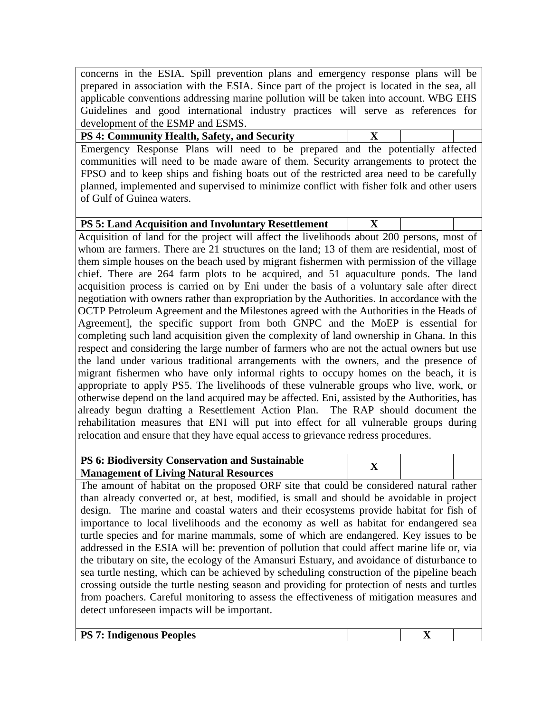concerns in the ESIA. Spill prevention plans and emergency response plans will be prepared in association with the ESIA. Since part of the project is located in the sea, all applicable conventions addressing marine pollution will be taken into account. WBG EHS Guidelines and good international industry practices will serve as references for development of the ESMP and ESMS.

| <b>PS 4: Community Health, Safety, and Security</b>                                       |  |  |
|-------------------------------------------------------------------------------------------|--|--|
| Emergency Response Plans will need to be prepared and the potentially affected            |  |  |
| communities will need to be made aware of them. Security arrangements to protect the      |  |  |
| FPSO and to keep ships and fishing boats out of the restricted area need to be carefully  |  |  |
| planned, implemented and supervised to minimize conflict with fisher folk and other users |  |  |
| of Gulf of Guinea waters.                                                                 |  |  |

| <b>PS 5: Land Acquisition and Involuntary Resettlement</b> |  |  |
|------------------------------------------------------------|--|--|

Acquisition of land for the project will affect the livelihoods about 200 persons, most of whom are farmers. There are 21 structures on the land; 13 of them are residential, most of them simple houses on the beach used by migrant fishermen with permission of the village chief. There are 264 farm plots to be acquired, and 51 aquaculture ponds. The land acquisition process is carried on by Eni under the basis of a voluntary sale after direct negotiation with owners rather than expropriation by the Authorities. In accordance with the OCTP Petroleum Agreement and the Milestones agreed with the Authorities in the Heads of Agreement], the specific support from both GNPC and the MoEP is essential for completing such land acquisition given the complexity of land ownership in Ghana. In this respect and considering the large number of farmers who are not the actual owners but use the land under various traditional arrangements with the owners, and the presence of migrant fishermen who have only informal rights to occupy homes on the beach, it is appropriate to apply PS5. The livelihoods of these vulnerable groups who live, work, or otherwise depend on the land acquired may be affected. Eni, assisted by the Authorities, has already begun drafting a Resettlement Action Plan. The RAP should document the rehabilitation measures that ENI will put into effect for all vulnerable groups during relocation and ensure that they have equal access to grievance redress procedures.

| <b>PS 6: Biodiversity Conservation and Sustainable</b> |  |
|--------------------------------------------------------|--|
| <b>Management of Living Natural Resources</b>          |  |

The amount of habitat on the proposed ORF site that could be considered natural rather than already converted or, at best, modified, is small and should be avoidable in project design. The marine and coastal waters and their ecosystems provide habitat for fish of importance to local livelihoods and the economy as well as habitat for endangered sea turtle species and for marine mammals, some of which are endangered. Key issues to be addressed in the ESIA will be: prevention of pollution that could affect marine life or, via the tributary on site, the ecology of the Amansuri Estuary, and avoidance of disturbance to sea turtle nesting, which can be achieved by scheduling construction of the pipeline beach crossing outside the turtle nesting season and providing for protection of nests and turtles from poachers. Careful monitoring to assess the effectiveness of mitigation measures and detect unforeseen impacts will be important.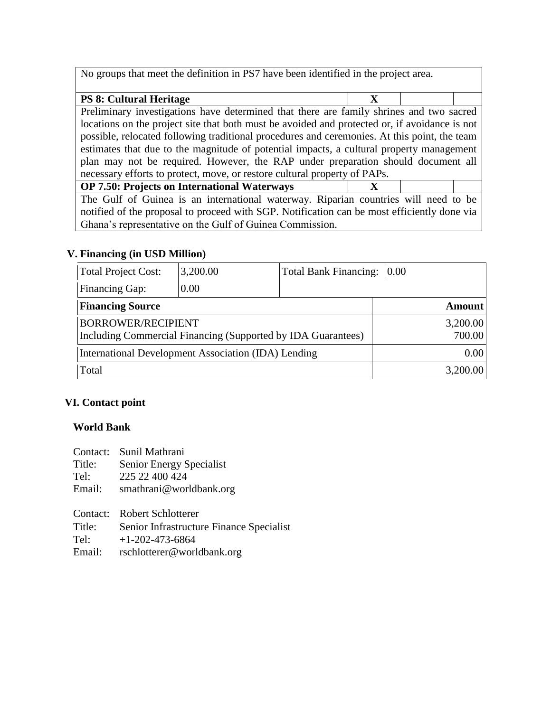No groups that meet the definition in PS7 have been identified in the project area.

| <b>PS 8: Cultural Heritage</b>                                                                |  |  |  |
|-----------------------------------------------------------------------------------------------|--|--|--|
| Preliminary investigations have determined that there are family shrines and two sacred       |  |  |  |
| locations on the project site that both must be avoided and protected or, if avoidance is not |  |  |  |
| possible, relocated following traditional procedures and ceremonies. At this point, the team  |  |  |  |
| estimates that due to the magnitude of potential impacts, a cultural property management      |  |  |  |
| plan may not be required. However, the RAP under preparation should document all              |  |  |  |
| necessary efforts to protect, move, or restore cultural property of PAPs.                     |  |  |  |
| <b>OP 7.50: Projects on International Waterways</b>                                           |  |  |  |

The Gulf of Guinea is an international waterway. Riparian countries will need to be notified of the proposal to proceed with SGP. Notification can be most efficiently done via Ghana's representative on the Gulf of Guinea Commission.

### **V. Financing (in USD Million)**

| Total Project Cost:                                          | 3,200.00 |  | Total Bank Financing: 0.00 |               |
|--------------------------------------------------------------|----------|--|----------------------------|---------------|
| <b>Financing Gap:</b>                                        | 0.00     |  |                            |               |
| <b>Financing Source</b>                                      |          |  |                            | <b>Amount</b> |
| <b>BORROWER/RECIPIENT</b>                                    |          |  | 3,200.00                   |               |
| Including Commercial Financing (Supported by IDA Guarantees) |          |  | 700.00                     |               |
| <b>International Development Association (IDA) Lending</b>   |          |  | 0.00                       |               |
| Total                                                        |          |  | 3,200.00                   |               |

### **VI. Contact point**

### **World Bank**

| Contact: | Sunil Mathrani                           |
|----------|------------------------------------------|
| Title:   | <b>Senior Energy Specialist</b>          |
| Tel:     | 225 22 400 424                           |
| Email:   | smathrani@worldbank.org                  |
|          |                                          |
|          | Contact: Robert Schlotterer              |
| Title:   | Senior Infrastructure Finance Specialist |
| Tel:     | $+1-202-473-6864$                        |
| Email:   | rschlotterer@worldbank.org               |